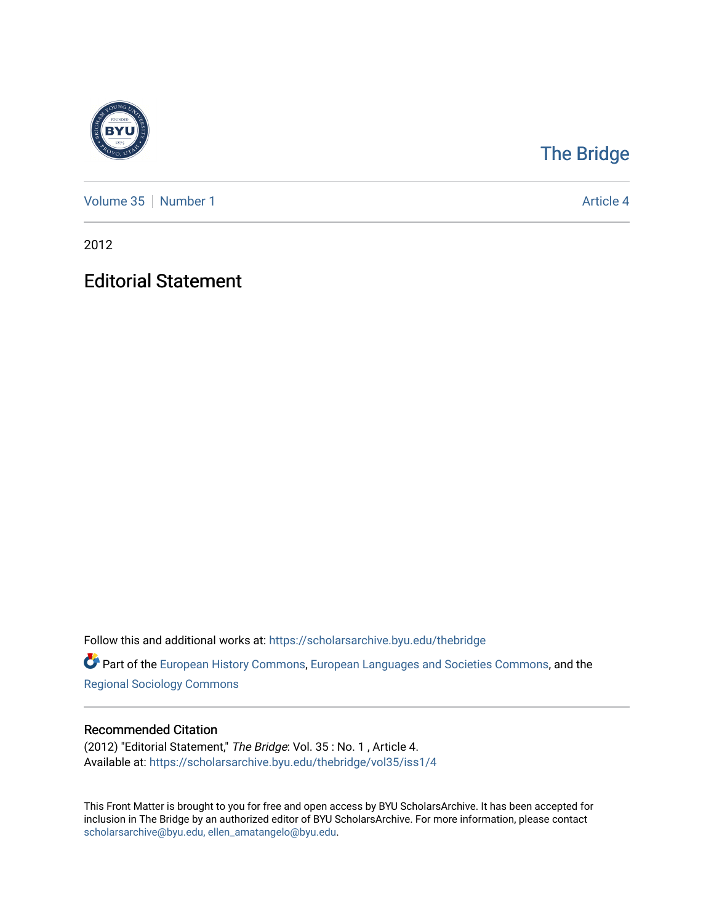

## [The Bridge](https://scholarsarchive.byu.edu/thebridge)

[Volume 35](https://scholarsarchive.byu.edu/thebridge/vol35) [Number 1](https://scholarsarchive.byu.edu/thebridge/vol35/iss1) Article 4

2012

## Editorial Statement

Follow this and additional works at: [https://scholarsarchive.byu.edu/thebridge](https://scholarsarchive.byu.edu/thebridge?utm_source=scholarsarchive.byu.edu%2Fthebridge%2Fvol35%2Fiss1%2F4&utm_medium=PDF&utm_campaign=PDFCoverPages) 

**Part of the [European History Commons](http://network.bepress.com/hgg/discipline/492?utm_source=scholarsarchive.byu.edu%2Fthebridge%2Fvol35%2Fiss1%2F4&utm_medium=PDF&utm_campaign=PDFCoverPages), [European Languages and Societies Commons,](http://network.bepress.com/hgg/discipline/482?utm_source=scholarsarchive.byu.edu%2Fthebridge%2Fvol35%2Fiss1%2F4&utm_medium=PDF&utm_campaign=PDFCoverPages) and the** [Regional Sociology Commons](http://network.bepress.com/hgg/discipline/427?utm_source=scholarsarchive.byu.edu%2Fthebridge%2Fvol35%2Fiss1%2F4&utm_medium=PDF&utm_campaign=PDFCoverPages) 

## Recommended Citation

(2012) "Editorial Statement," The Bridge: Vol. 35 : No. 1 , Article 4. Available at: [https://scholarsarchive.byu.edu/thebridge/vol35/iss1/4](https://scholarsarchive.byu.edu/thebridge/vol35/iss1/4?utm_source=scholarsarchive.byu.edu%2Fthebridge%2Fvol35%2Fiss1%2F4&utm_medium=PDF&utm_campaign=PDFCoverPages) 

This Front Matter is brought to you for free and open access by BYU ScholarsArchive. It has been accepted for inclusion in The Bridge by an authorized editor of BYU ScholarsArchive. For more information, please contact [scholarsarchive@byu.edu, ellen\\_amatangelo@byu.edu](mailto:scholarsarchive@byu.edu,%20ellen_amatangelo@byu.edu).